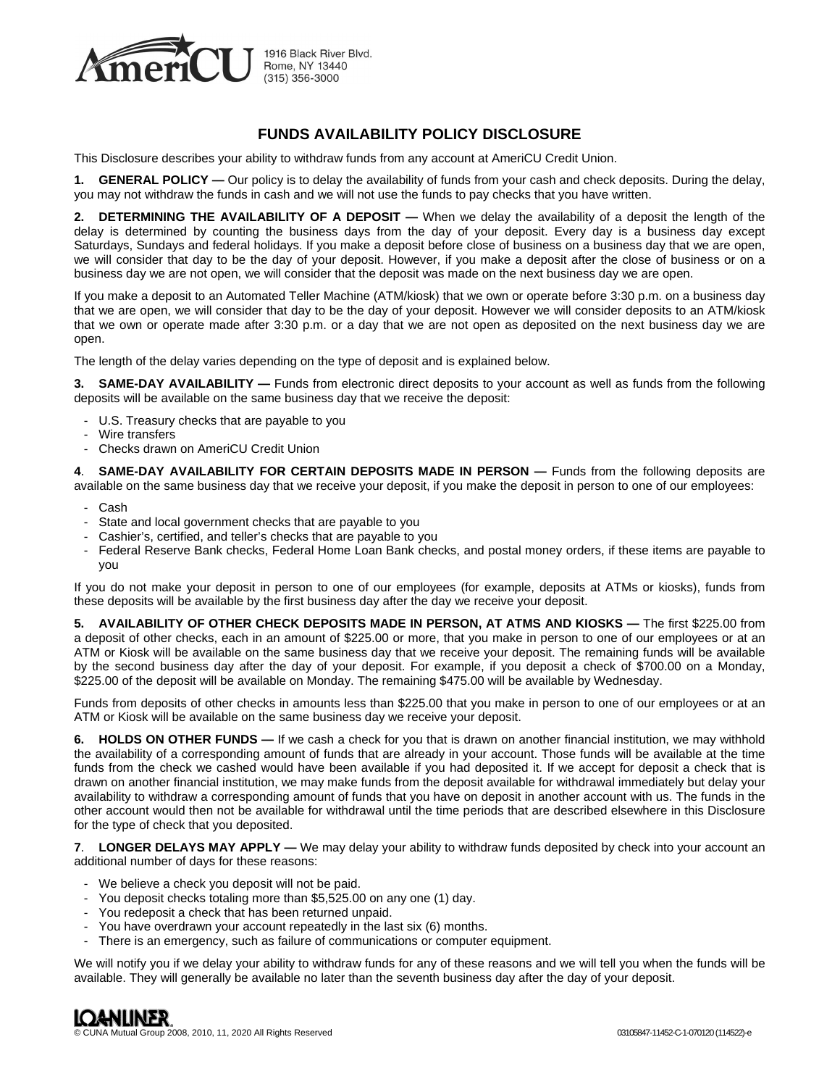

## **FUNDS AVAILABILITY POLICY DISCLOSURE**

This Disclosure describes your ability to withdraw funds from any account at AmeriCU Credit Union.

**1. GENERAL POLICY —** Our policy is to delay the availability of funds from your cash and check deposits. During the delay, you may not withdraw the funds in cash and we will not use the funds to pay checks that you have written.

**2. DETERMINING THE AVAILABILITY OF A DEPOSIT —** When we delay the availability of a deposit the length of the delay is determined by counting the business days from the day of your deposit. Every day is a business day except Saturdays, Sundays and federal holidays. If you make a deposit before close of business on a business day that we are open, we will consider that day to be the day of your deposit. However, if you make a deposit after the close of business or on a business day we are not open, we will consider that the deposit was made on the next business day we are open.

If you make a deposit to an Automated Teller Machine (ATM/kiosk) that we own or operate before 3:30 p.m. on a business day that we are open, we will consider that day to be the day of your deposit. However we will consider deposits to an ATM/kiosk that we own or operate made after 3:30 p.m. or a day that we are not open as deposited on the next business day we are open.

The length of the delay varies depending on the type of deposit and is explained below.

**3. SAME-DAY AVAILABILITY —** Funds from electronic direct deposits to your account as well as funds from the following deposits will be available on the same business day that we receive the deposit:

- U.S. Treasury checks that are payable to you
- Wire transfers
- Checks drawn on AmeriCU Credit Union

4. **SAME-DAY AVAILABILITY FOR CERTAIN DEPOSITS MADE IN PERSON — Funds from the following deposits are** available on the same business day that we receive your deposit, if you make the deposit in person to one of our employees:

- Cash
- State and local government checks that are payable to you
- Cashier's, certified, and teller's checks that are payable to you
- Federal Reserve Bank checks, Federal Home Loan Bank checks, and postal money orders, if these items are payable to you

If you do not make your deposit in person to one of our employees (for example, deposits at ATMs or kiosks), funds from these deposits will be available by the first business day after the day we receive your deposit.

**5. AVAILABILITY OF OTHER CHECK DEPOSITS MADE IN PERSON, AT ATMS AND KIOSKS —** The first \$225.00 from a deposit of other checks, each in an amount of \$225.00 or more, that you make in person to one of our employees or at an ATM or Kiosk will be available on the same business day that we receive your deposit. The remaining funds will be available by the second business day after the day of your deposit. For example, if you deposit a check of \$700.00 on a Monday, \$225.00 of the deposit will be available on Monday. The remaining \$475.00 will be available by Wednesday.

Funds from deposits of other checks in amounts less than \$225.00 that you make in person to one of our employees or at an ATM or Kiosk will be available on the same business day we receive your deposit.

**6. HOLDS ON OTHER FUNDS —** If we cash a check for you that is drawn on another financial institution, we may withhold the availability of a corresponding amount of funds that are already in your account. Those funds will be available at the time funds from the check we cashed would have been available if you had deposited it. If we accept for deposit a check that is drawn on another financial institution, we may make funds from the deposit available for withdrawal immediately but delay your availability to withdraw a corresponding amount of funds that you have on deposit in another account with us. The funds in the other account would then not be available for withdrawal until the time periods that are described elsewhere in this Disclosure for the type of check that you deposited.

**7**. **LONGER DELAYS MAY APPLY —** We may delay your ability to withdraw funds deposited by check into your account an additional number of days for these reasons:

- We believe a check you deposit will not be paid.
- You deposit checks totaling more than \$5,525.00 on any one (1) day.
- You redeposit a check that has been returned unpaid.
- You have overdrawn your account repeatedly in the last six (6) months.
- There is an emergency, such as failure of communications or computer equipment.

We will notify you if we delay your ability to withdraw funds for any of these reasons and we will tell you when the funds will be available. They will generally be available no later than the seventh business day after the day of your deposit.